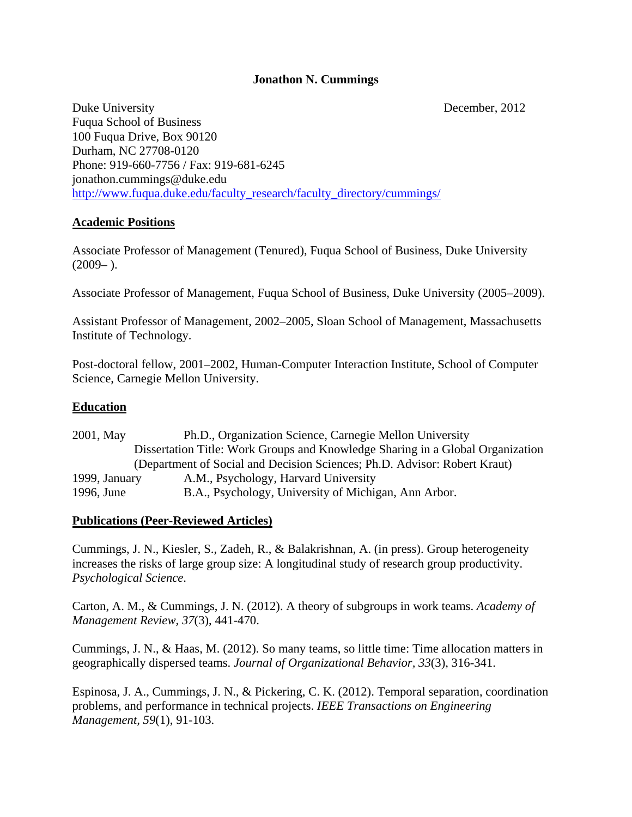### **Jonathon N. Cummings**

Duke University December, 2012 Fuqua School of Business 100 Fuqua Drive, Box 90120 Durham, NC 27708-0120 Phone: 919-660-7756 / Fax: 919-681-6245 jonathon.cummings@duke.edu http://www.fuqua.duke.edu/faculty\_research/faculty\_directory/cummings/

### **Academic Positions**

Associate Professor of Management (Tenured), Fuqua School of Business, Duke University  $(2009-).$ 

Associate Professor of Management, Fuqua School of Business, Duke University (2005–2009).

Assistant Professor of Management, 2002–2005, Sloan School of Management, Massachusetts Institute of Technology.

Post-doctoral fellow, 2001–2002, Human-Computer Interaction Institute, School of Computer Science, Carnegie Mellon University.

### **Education**

2001, May Ph.D., Organization Science, Carnegie Mellon University Dissertation Title: Work Groups and Knowledge Sharing in a Global Organization (Department of Social and Decision Sciences; Ph.D. Advisor: Robert Kraut) 1999, January A.M., Psychology, Harvard University 1996, June B.A., Psychology, University of Michigan, Ann Arbor.

#### **Publications (Peer-Reviewed Articles)**

Cummings, J. N., Kiesler, S., Zadeh, R., & Balakrishnan, A. (in press). Group heterogeneity increases the risks of large group size: A longitudinal study of research group productivity. *Psychological Science*.

Carton, A. M., & Cummings, J. N. (2012). A theory of subgroups in work teams. *Academy of Management Review, 37*(3), 441-470.

Cummings, J. N., & Haas, M. (2012). So many teams, so little time: Time allocation matters in geographically dispersed teams. *Journal of Organizational Behavior, 33*(3), 316-341.

Espinosa, J. A., Cummings, J. N., & Pickering, C. K. (2012). Temporal separation, coordination problems, and performance in technical projects. *IEEE Transactions on Engineering Management, 59*(1), 91-103.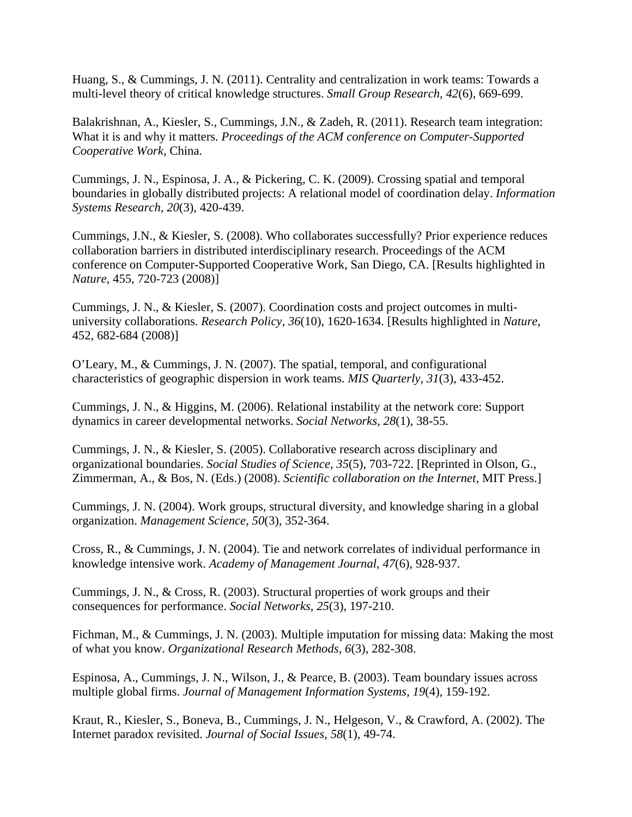Huang, S., & Cummings, J. N. (2011). Centrality and centralization in work teams: Towards a multi-level theory of critical knowledge structures. *Small Group Research, 42*(6), 669-699.

Balakrishnan, A., Kiesler, S., Cummings, J.N., & Zadeh, R. (2011). Research team integration: What it is and why it matters. *Proceedings of the ACM conference on Computer-Supported Cooperative Work*, China.

Cummings, J. N., Espinosa, J. A., & Pickering, C. K. (2009). Crossing spatial and temporal boundaries in globally distributed projects: A relational model of coordination delay. *Information Systems Research, 20*(3), 420-439.

Cummings, J.N., & Kiesler, S. (2008). Who collaborates successfully? Prior experience reduces collaboration barriers in distributed interdisciplinary research. Proceedings of the ACM conference on Computer-Supported Cooperative Work, San Diego, CA. [Results highlighted in *Nature*, 455, 720-723 (2008)]

Cummings, J. N., & Kiesler, S. (2007). Coordination costs and project outcomes in multiuniversity collaborations. *Research Policy, 36*(10), 1620-1634. [Results highlighted in *Nature*, 452, 682-684 (2008)]

O'Leary, M., & Cummings, J. N. (2007). The spatial, temporal, and configurational characteristics of geographic dispersion in work teams. *MIS Quarterly, 31*(3), 433-452.

Cummings, J. N., & Higgins, M. (2006). Relational instability at the network core: Support dynamics in career developmental networks. *Social Networks, 28*(1), 38-55.

Cummings, J. N., & Kiesler, S. (2005). Collaborative research across disciplinary and organizational boundaries. *Social Studies of Science, 35*(5), 703-722. [Reprinted in Olson, G., Zimmerman, A., & Bos, N. (Eds.) (2008). *Scientific collaboration on the Internet*, MIT Press.]

Cummings, J. N. (2004). Work groups, structural diversity, and knowledge sharing in a global organization. *Management Science, 50*(3), 352-364.

Cross, R., & Cummings, J. N. (2004). Tie and network correlates of individual performance in knowledge intensive work. *Academy of Management Journal, 47*(6), 928-937.

Cummings, J. N., & Cross, R. (2003). Structural properties of work groups and their consequences for performance. *Social Networks, 25*(3), 197-210.

Fichman, M., & Cummings, J. N. (2003). Multiple imputation for missing data: Making the most of what you know. *Organizational Research Methods, 6*(3), 282-308.

Espinosa, A., Cummings, J. N., Wilson, J., & Pearce, B. (2003). Team boundary issues across multiple global firms. *Journal of Management Information Systems, 19*(4), 159-192.

Kraut, R., Kiesler, S., Boneva, B., Cummings, J. N., Helgeson, V., & Crawford, A. (2002). The Internet paradox revisited. *Journal of Social Issues, 58*(1), 49-74.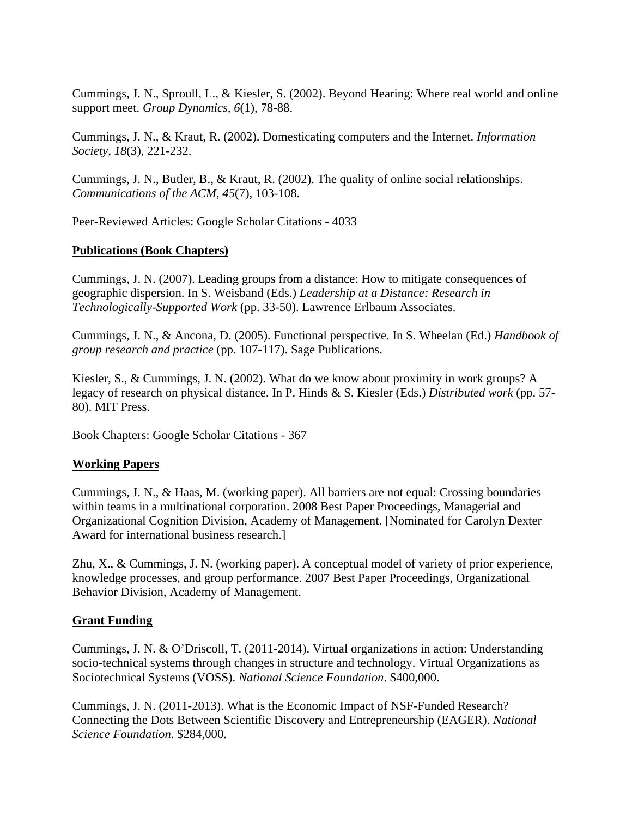Cummings, J. N., Sproull, L., & Kiesler, S. (2002). Beyond Hearing: Where real world and online support meet. *Group Dynamics, 6*(1), 78-88.

Cummings, J. N., & Kraut, R. (2002). Domesticating computers and the Internet. *Information Society, 18*(3), 221-232.

Cummings, J. N., Butler, B., & Kraut, R. (2002). The quality of online social relationships. *Communications of the ACM, 45*(7), 103-108.

Peer-Reviewed Articles: Google Scholar Citations - 4033

### **Publications (Book Chapters)**

Cummings, J. N. (2007). Leading groups from a distance: How to mitigate consequences of geographic dispersion. In S. Weisband (Eds.) *Leadership at a Distance: Research in Technologically-Supported Work* (pp. 33-50). Lawrence Erlbaum Associates.

Cummings, J. N., & Ancona, D. (2005). Functional perspective. In S. Wheelan (Ed.) *Handbook of group research and practice* (pp. 107-117). Sage Publications.

Kiesler, S., & Cummings, J. N. (2002). What do we know about proximity in work groups? A legacy of research on physical distance. In P. Hinds & S. Kiesler (Eds.) *Distributed work* (pp. 57- 80). MIT Press.

Book Chapters: Google Scholar Citations - 367

# **Working Papers**

Cummings, J. N., & Haas, M. (working paper). All barriers are not equal: Crossing boundaries within teams in a multinational corporation. 2008 Best Paper Proceedings, Managerial and Organizational Cognition Division, Academy of Management. [Nominated for Carolyn Dexter Award for international business research.]

Zhu, X., & Cummings, J. N. (working paper). A conceptual model of variety of prior experience, knowledge processes, and group performance. 2007 Best Paper Proceedings, Organizational Behavior Division, Academy of Management.

# **Grant Funding**

Cummings, J. N. & O'Driscoll, T. (2011-2014). Virtual organizations in action: Understanding socio-technical systems through changes in structure and technology. Virtual Organizations as Sociotechnical Systems (VOSS). *National Science Foundation*. \$400,000.

Cummings, J. N. (2011-2013). What is the Economic Impact of NSF-Funded Research? Connecting the Dots Between Scientific Discovery and Entrepreneurship (EAGER). *National Science Foundation*. \$284,000.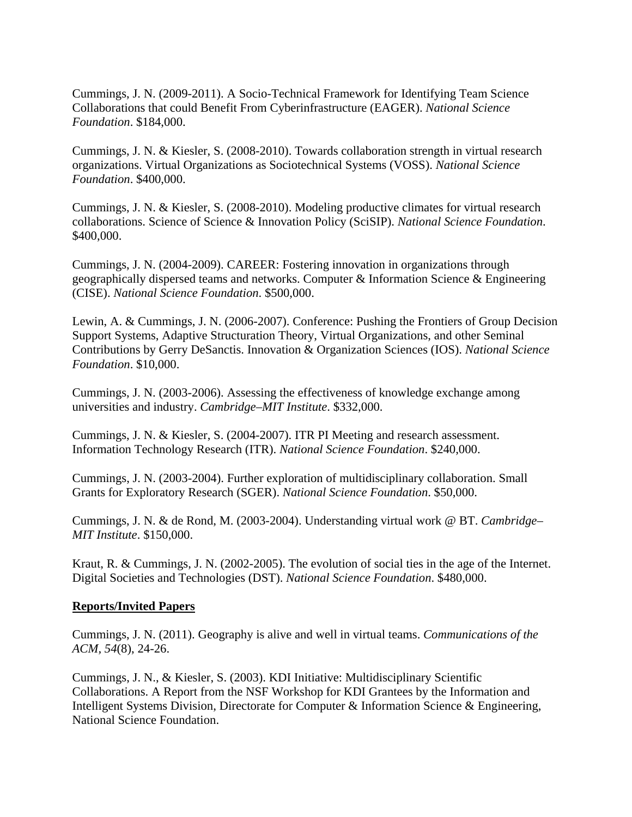Cummings, J. N. (2009-2011). A Socio-Technical Framework for Identifying Team Science Collaborations that could Benefit From Cyberinfrastructure (EAGER). *National Science Foundation*. \$184,000.

Cummings, J. N. & Kiesler, S. (2008-2010). Towards collaboration strength in virtual research organizations. Virtual Organizations as Sociotechnical Systems (VOSS). *National Science Foundation*. \$400,000.

Cummings, J. N. & Kiesler, S. (2008-2010). Modeling productive climates for virtual research collaborations. Science of Science & Innovation Policy (SciSIP). *National Science Foundation*. \$400,000.

Cummings, J. N. (2004-2009). CAREER: Fostering innovation in organizations through geographically dispersed teams and networks. Computer & Information Science & Engineering (CISE). *National Science Foundation*. \$500,000.

Lewin, A. & Cummings, J. N. (2006-2007). Conference: Pushing the Frontiers of Group Decision Support Systems, Adaptive Structuration Theory, Virtual Organizations, and other Seminal Contributions by Gerry DeSanctis. Innovation & Organization Sciences (IOS). *National Science Foundation*. \$10,000.

Cummings, J. N. (2003-2006). Assessing the effectiveness of knowledge exchange among universities and industry. *Cambridge–MIT Institute*. \$332,000.

Cummings, J. N. & Kiesler, S. (2004-2007). ITR PI Meeting and research assessment. Information Technology Research (ITR). *National Science Foundation*. \$240,000.

Cummings, J. N. (2003-2004). Further exploration of multidisciplinary collaboration. Small Grants for Exploratory Research (SGER). *National Science Foundation*. \$50,000.

Cummings, J. N. & de Rond, M. (2003-2004). Understanding virtual work @ BT. *Cambridge– MIT Institute*. \$150,000.

Kraut, R. & Cummings, J. N. (2002-2005). The evolution of social ties in the age of the Internet. Digital Societies and Technologies (DST). *National Science Foundation*. \$480,000.

#### **Reports/Invited Papers**

Cummings, J. N. (2011). Geography is alive and well in virtual teams. *Communications of the ACM, 54*(8), 24-26.

Cummings, J. N., & Kiesler, S. (2003). KDI Initiative: Multidisciplinary Scientific Collaborations. A Report from the NSF Workshop for KDI Grantees by the Information and Intelligent Systems Division, Directorate for Computer & Information Science & Engineering, National Science Foundation.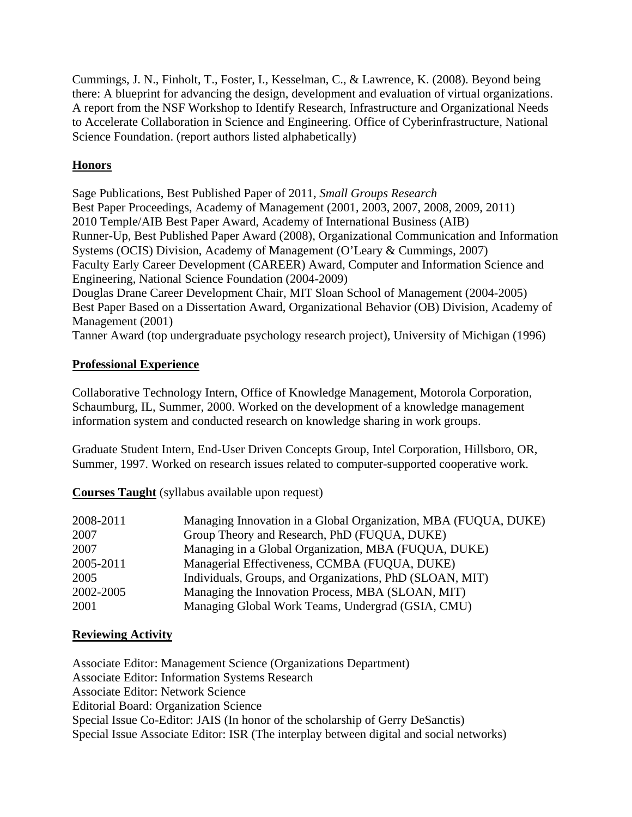Cummings, J. N., Finholt, T., Foster, I., Kesselman, C., & Lawrence, K. (2008). Beyond being there: A blueprint for advancing the design, development and evaluation of virtual organizations. A report from the NSF Workshop to Identify Research, Infrastructure and Organizational Needs to Accelerate Collaboration in Science and Engineering. Office of Cyberinfrastructure, National Science Foundation. (report authors listed alphabetically)

# **Honors**

Sage Publications, Best Published Paper of 2011, *Small Groups Research* Best Paper Proceedings, Academy of Management (2001, 2003, 2007, 2008, 2009, 2011) 2010 Temple/AIB Best Paper Award, Academy of International Business (AIB) Runner-Up, Best Published Paper Award (2008), Organizational Communication and Information Systems (OCIS) Division, Academy of Management (O'Leary & Cummings, 2007) Faculty Early Career Development (CAREER) Award, Computer and Information Science and Engineering, National Science Foundation (2004-2009) Douglas Drane Career Development Chair, MIT Sloan School of Management (2004-2005) Best Paper Based on a Dissertation Award, Organizational Behavior (OB) Division, Academy of Management (2001)

Tanner Award (top undergraduate psychology research project), University of Michigan (1996)

# **Professional Experience**

Collaborative Technology Intern, Office of Knowledge Management, Motorola Corporation, Schaumburg, IL, Summer, 2000. Worked on the development of a knowledge management information system and conducted research on knowledge sharing in work groups.

Graduate Student Intern, End-User Driven Concepts Group, Intel Corporation, Hillsboro, OR, Summer, 1997. Worked on research issues related to computer-supported cooperative work.

**Courses Taught** (syllabus available upon request)

| 2008-2011 | Managing Innovation in a Global Organization, MBA (FUQUA, DUKE) |
|-----------|-----------------------------------------------------------------|
| 2007      | Group Theory and Research, PhD (FUQUA, DUKE)                    |
| 2007      | Managing in a Global Organization, MBA (FUQUA, DUKE)            |
| 2005-2011 | Managerial Effectiveness, CCMBA (FUQUA, DUKE)                   |
| 2005      | Individuals, Groups, and Organizations, PhD (SLOAN, MIT)        |
| 2002-2005 | Managing the Innovation Process, MBA (SLOAN, MIT)               |
| 2001      | Managing Global Work Teams, Undergrad (GSIA, CMU)               |

# **Reviewing Activity**

Associate Editor: Management Science (Organizations Department) Associate Editor: Information Systems Research Associate Editor: Network Science Editorial Board: Organization Science Special Issue Co-Editor: JAIS (In honor of the scholarship of Gerry DeSanctis) Special Issue Associate Editor: ISR (The interplay between digital and social networks)